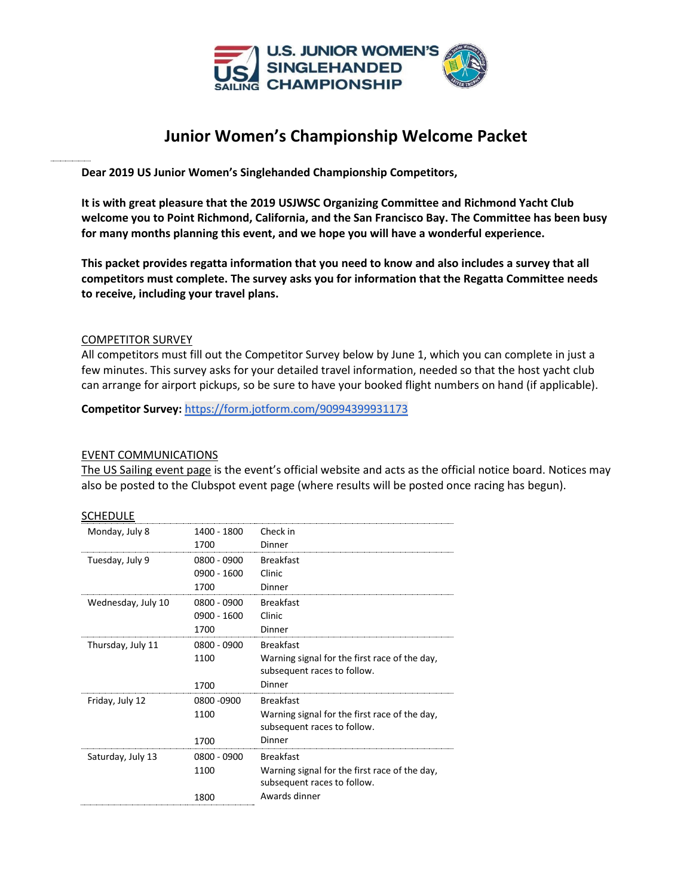

# **Junior Women's Championship Welcome Packet**

**Dear 2019 US Junior Women's Singlehanded Championship Competitors,**

**It is with great pleasure that the 2019 USJWSC Organizing Committee and Richmond Yacht Club welcome you to Point Richmond, California, and the San Francisco Bay. The Committee has been busy for many months planning this event, and we hope you will have a wonderful experience.** 

**This packet provides regatta information that you need to know and also includes a survey that all competitors must complete. The survey asks you for information that the Regatta Committee needs to receive, including your travel plans.** 

#### COMPETITOR SURVEY

All competitors must fill out the Competitor Survey below by June 1, which you can complete in just a few minutes. This survey asks for your detailed travel information, needed so that the host yacht club can arrange for airport pickups, so be sure to have your booked flight numbers on hand (if applicable).

**Competitor Survey:** <https://form.jotform.com/90994399931173>

#### EVENT COMMUNICATIONS

[The US Sailing event page](http://www.ussailing.org/competition/championships/2019-u-s-junior-womens-singlehanded-championship/) is the event's official website and acts as the official notice board. Notices may also be posted to the Clubspot event page (where results will be posted once racing has begun).

#### SCHEDULE

| Monday, July 8     | 1400 - 1800 | Check in                                                                     |
|--------------------|-------------|------------------------------------------------------------------------------|
|                    | 1700        | Dinner                                                                       |
| Tuesday, July 9    | 0800 - 0900 | <b>Breakfast</b>                                                             |
|                    | 0900 - 1600 | Clinic                                                                       |
|                    | 1700        | Dinner                                                                       |
| Wednesday, July 10 | 0800 - 0900 | <b>Breakfast</b>                                                             |
|                    | 0900 - 1600 | Clinic                                                                       |
|                    | 1700        | Dinner                                                                       |
| Thursday, July 11  | 0800 - 0900 | <b>Breakfast</b>                                                             |
|                    | 1100        | Warning signal for the first race of the day,<br>subsequent races to follow. |
|                    | 1700        | Dinner                                                                       |
| Friday, July 12    | 0800 -0900  | <b>Breakfast</b>                                                             |
|                    | 1100        | Warning signal for the first race of the day,<br>subsequent races to follow. |
|                    | 1700        | Dinner                                                                       |
| Saturday, July 13  | 0800 - 0900 | <b>Breakfast</b>                                                             |
|                    | 1100        | Warning signal for the first race of the day,<br>subsequent races to follow. |
|                    | 1800        | Awards dinner                                                                |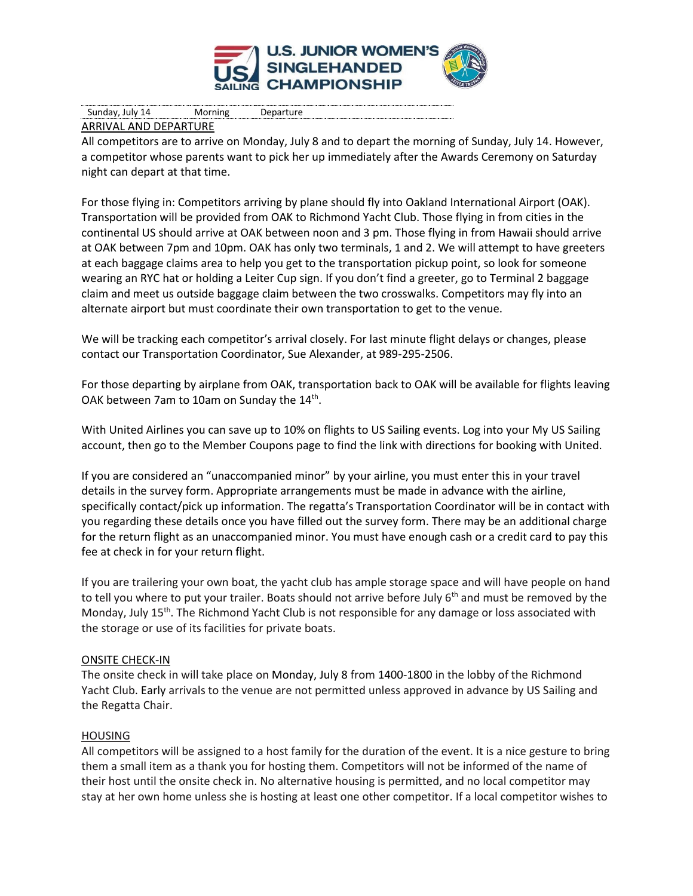

## ARRIVAL AND DEPARTURE

All competitors are to arrive on Monday, July 8 and to depart the morning of Sunday, July 14. However, a competitor whose parents want to pick her up immediately after the Awards Ceremony on Saturday night can depart at that time.

For those flying in: Competitors arriving by plane should fly into Oakland International Airport (OAK). Transportation will be provided from OAK to Richmond Yacht Club. Those flying in from cities in the continental US should arrive at OAK between noon and 3 pm. Those flying in from Hawaii should arrive at OAK between 7pm and 10pm. OAK has only two terminals, 1 and 2. We will attempt to have greeters at each baggage claims area to help you get to the transportation pickup point, so look for someone wearing an RYC hat or holding a Leiter Cup sign. If you don't find a greeter, go to Terminal 2 baggage claim and meet us outside baggage claim between the two crosswalks. Competitors may fly into an alternate airport but must coordinate their own transportation to get to the venue.

We will be tracking each competitor's arrival closely. For last minute flight delays or changes, please contact our Transportation Coordinator, Sue Alexander, at 989-295-2506.

For those departing by airplane from OAK, transportation back to OAK will be available for flights leaving OAK between 7am to 10am on Sunday the 14<sup>th</sup>.

With United Airlines you can save up to 10% on flights to US Sailing events. Log into your My US Sailing account, then go to the Member Coupons page to find the link with directions for booking with United.

If you are considered an "unaccompanied minor" by your airline, you must enter this in your travel details in the survey form. Appropriate arrangements must be made in advance with the airline, specifically contact/pick up information. The regatta's Transportation Coordinator will be in contact with you regarding these details once you have filled out the survey form. There may be an additional charge for the return flight as an unaccompanied minor. You must have enough cash or a credit card to pay this fee at check in for your return flight.

If you are trailering your own boat, the yacht club has ample storage space and will have people on hand to tell you where to put your trailer. Boats should not arrive before July  $6<sup>th</sup>$  and must be removed by the Monday, July 15<sup>th</sup>. The Richmond Yacht Club is not responsible for any damage or loss associated with the storage or use of its facilities for private boats.

## ONSITE CHECK-IN

The onsite check in will take place on Monday, July 8 from 1400-1800 in the lobby of the Richmond Yacht Club. Early arrivals to the venue are not permitted unless approved in advance by US Sailing and the Regatta Chair.

## HOUSING

All competitors will be assigned to a host family for the duration of the event. It is a nice gesture to bring them a small item as a thank you for hosting them. Competitors will not be informed of the name of their host until the onsite check in. No alternative housing is permitted, and no local competitor may stay at her own home unless she is hosting at least one other competitor. If a local competitor wishes to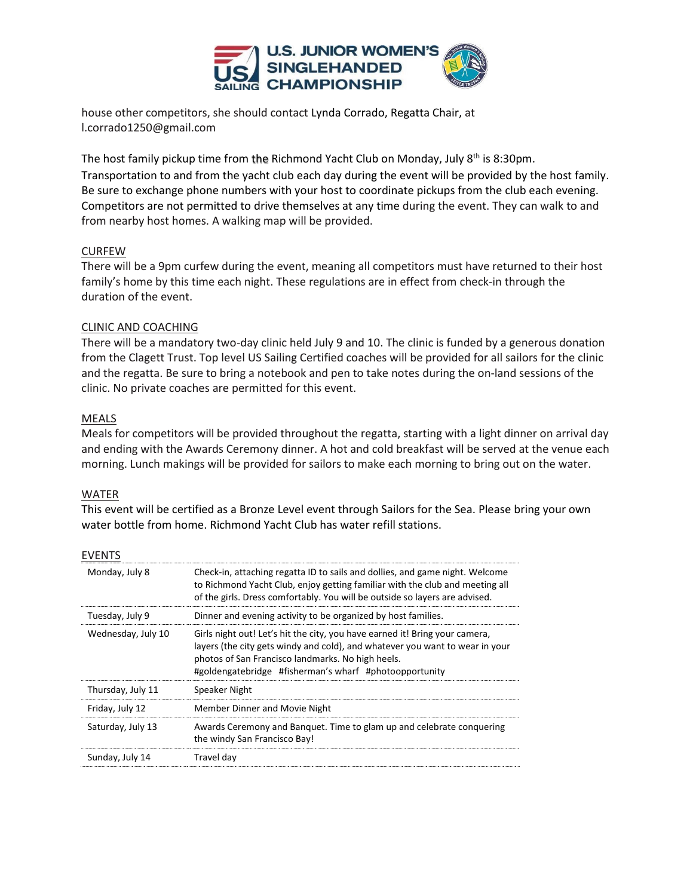

house other competitors, she should contact Lynda Corrado, Regatta Chair, at l.corrado1250@gmail.com

The host family pickup time from the Richmond Yacht Club on Monday, July 8<sup>th</sup> is 8:30pm. Transportation to and from the yacht club each day during the event will be provided by the host family. Be sure to exchange phone numbers with your host to coordinate pickups from the club each evening. Competitors are not permitted to drive themselves at any time during the event. They can walk to and from nearby host homes. A walking map will be provided.

## CURFEW

There will be a 9pm curfew during the event, meaning all competitors must have returned to their host family's home by this time each night. These regulations are in effect from check-in through the duration of the event.

## CLINIC AND COACHING

There will be a mandatory two-day clinic held July 9 and 10. The clinic is funded by a generous donation from the Clagett Trust. Top level US Sailing Certified coaches will be provided for all sailors for the clinic and the regatta. Be sure to bring a notebook and pen to take notes during the on-land sessions of the clinic. No private coaches are permitted for this event.

## MEALS

Meals for competitors will be provided throughout the regatta, starting with a light dinner on arrival day and ending with the Awards Ceremony dinner. A hot and cold breakfast will be served at the venue each morning. Lunch makings will be provided for sailors to make each morning to bring out on the water.

## WATER

This event will be certified as a Bronze Level event through Sailors for the Sea. Please bring your own water bottle from home. Richmond Yacht Club has water refill stations.

| <b>FVFNTS</b>      |                                                                                                                                                                                                                                                                            |
|--------------------|----------------------------------------------------------------------------------------------------------------------------------------------------------------------------------------------------------------------------------------------------------------------------|
| Monday, July 8     | Check-in, attaching regatta ID to sails and dollies, and game night. Welcome<br>to Richmond Yacht Club, enjoy getting familiar with the club and meeting all<br>of the girls. Dress comfortably. You will be outside so layers are advised.                                |
| Tuesday, July 9    | Dinner and evening activity to be organized by host families.                                                                                                                                                                                                              |
| Wednesday, July 10 | Girls night out! Let's hit the city, you have earned it! Bring your camera,<br>layers (the city gets windy and cold), and whatever you want to wear in your<br>photos of San Francisco landmarks. No high heels.<br>#goldengatebridge #fisherman's wharf #photoopportunity |
| Thursday, July 11  | Speaker Night                                                                                                                                                                                                                                                              |
| Friday, July 12    | Member Dinner and Movie Night                                                                                                                                                                                                                                              |
| Saturday, July 13  | Awards Ceremony and Banguet. Time to glam up and celebrate conquering<br>the windy San Francisco Bay!                                                                                                                                                                      |
| Sunday, July 14    | Travel day                                                                                                                                                                                                                                                                 |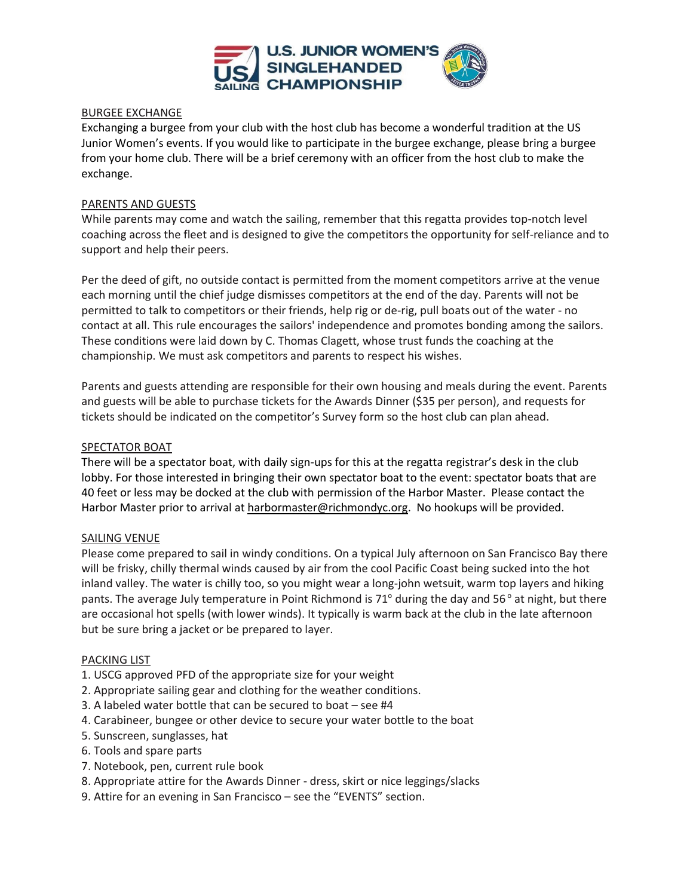

#### BURGEE EXCHANGE

Exchanging a burgee from your club with the host club has become a wonderful tradition at the US Junior Women's events. If you would like to participate in the burgee exchange, please bring a burgee from your home club. There will be a brief ceremony with an officer from the host club to make the exchange.

#### PARENTS AND GUESTS

While parents may come and watch the sailing, remember that this regatta provides top-notch level coaching across the fleet and is designed to give the competitors the opportunity for self-reliance and to support and help their peers.

Per the deed of gift, no outside contact is permitted from the moment competitors arrive at the venue each morning until the chief judge dismisses competitors at the end of the day. Parents will not be permitted to talk to competitors or their friends, help rig or de-rig, pull boats out of the water - no contact at all. This rule encourages the sailors' independence and promotes bonding among the sailors. These conditions were laid down by C. Thomas Clagett, whose trust funds the coaching at the championship. We must ask competitors and parents to respect his wishes.

Parents and guests attending are responsible for their own housing and meals during the event. Parents and guests will be able to purchase tickets for the Awards Dinner (\$35 per person), and requests for tickets should be indicated on the competitor's Survey form so the host club can plan ahead.

#### SPECTATOR BOAT

There will be a spectator boat, with daily sign-ups for this at the regatta registrar's desk in the club lobby. For those interested in bringing their own spectator boat to the event: spectator boats that are 40 feet or less may be docked at the club with permission of the Harbor Master. Please contact the Harbor Master prior to arrival a[t harbormaster@richmondyc.org.](mailto:harbormaster@richmondyc.org) No hookups will be provided.

## SAILING VENUE

Please come prepared to sail in windy conditions. On a typical July afternoon on San Francisco Bay there will be frisky, chilly thermal winds caused by air from the cool Pacific Coast being sucked into the hot inland valley. The water is chilly too, so you might wear a long-john wetsuit, warm top layers and hiking pants. The average July temperature in Point Richmond is 71 $\degree$  during the day and 56 $\degree$  at night, but there are occasional hot spells (with lower winds). It typically is warm back at the club in the late afternoon but be sure bring a jacket or be prepared to layer.

#### PACKING LIST

- 1. USCG approved PFD of the appropriate size for your weight
- 2. Appropriate sailing gear and clothing for the weather conditions.
- 3. A labeled water bottle that can be secured to boat see #4
- 4. Carabineer, bungee or other device to secure your water bottle to the boat
- 5. Sunscreen, sunglasses, hat
- 6. Tools and spare parts
- 7. Notebook, pen, current rule book
- 8. Appropriate attire for the Awards Dinner dress, skirt or nice leggings/slacks
- 9. Attire for an evening in San Francisco see the "EVENTS" section.